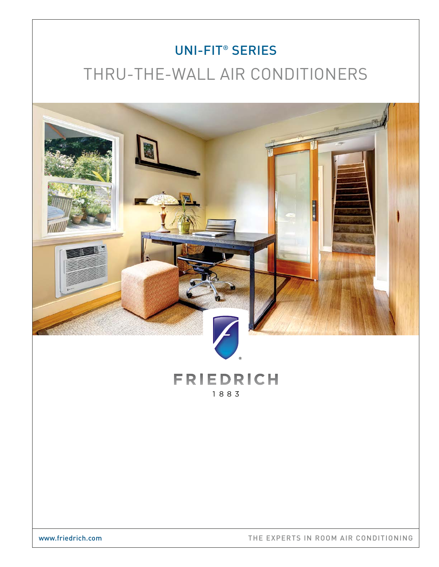# UNI-FIT® SERIES THRU-THE-WALL AIR CONDITIONERS

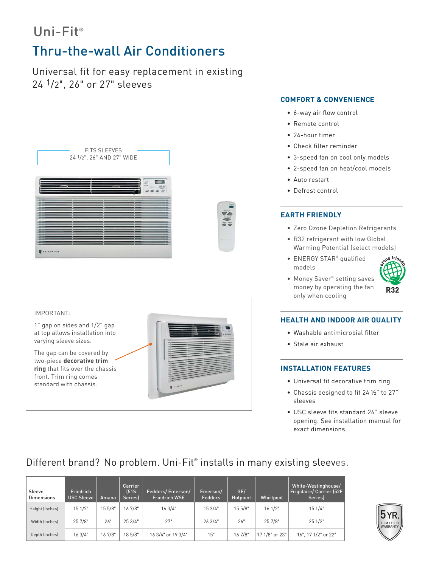# Uni-Fit®

# Thru-the-wall Air Conditioners

Universal fit for easy replacement in existing 24 1/2", 26" or 27" sleeves

| E.<br><b>STATISTICS</b> |   |
|-------------------------|---|
|                         |   |
|                         |   |
|                         |   |
|                         |   |
|                         |   |
|                         |   |
|                         |   |
|                         |   |
|                         |   |
|                         |   |
|                         |   |
|                         |   |
|                         |   |
|                         |   |
|                         |   |
|                         | ÷ |
|                         |   |
|                         |   |



#### **COMFORT & CONVENIENCE**

- 6-way air flow control
- Remote control
- 24-hour timer
- Check filter reminder
- 3-speed fan on cool only models
- 2-speed fan on heat/cool models
- Auto restart
- Defrost control

### **EARTH FRIENDLY**

- Zero Ozone Depletion Refrigerants
- R32 refrigerant with low Global Warming Potential (select models)
- ENERGY STAR<sup>®</sup> qualified models
- Money Saver® setting saves money by operating the fan only when cooling



#### **HEALTH AND INDOOR AIR QUALITY**

- Washable antimicrobial filter
- Stale air exhaust

#### **INSTALLATION FEATURES**

- Universal fit decorative trim ring
- Chassis designed to fit 24 ½" to 27" sleeves
- USC sleeve fits standard 26" sleeve opening. See installation manual for exact dimensions.

# Different brand? No problem. Uni-Fit® installs in many existing sleeves.

| Sleeve<br><b>Dimensions</b>          | Friedrich<br><b>USC Sleeve</b> | Amana   | Carrier<br>(51S)<br><b>Series</b> | Fedders/Emerson/<br><b>Friedrich WSE</b> | Emerson/<br><b>Fedders</b> | GE/<br>Hotpoint | <b>Whirlpool</b> | White-Westinghouse/<br><b>Frigidaire/ Carrier (52F</b><br>Seriesl |
|--------------------------------------|--------------------------------|---------|-----------------------------------|------------------------------------------|----------------------------|-----------------|------------------|-------------------------------------------------------------------|
| 15 5/8"<br>151/2"<br>Height (inches) |                                | 16 7/8" | 16 3/4"                           | 15 3/4"                                  | 15 5/8"                    | 161/2"          | 15 1/4"          |                                                                   |
| Width (inches)                       | 25 7/8"                        | 26"     | 253/4"                            | 27"                                      | 263/4"                     | 26"             | 25 7/8"          | 25 1/2"                                                           |
| Depth (inches)                       | 163/4"                         | 16 7/8" | 18 5/8"                           | 16 3/4" or 19 3/4"                       | 15"                        | 16 7/8"         | 17 1/8" or 23"   | 16", 17 1/2" or 22"                                               |

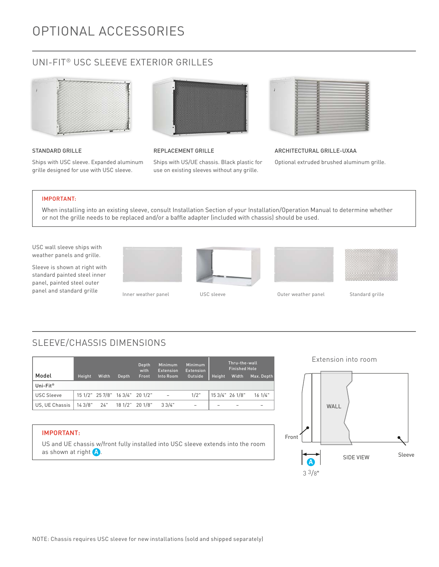# OPTIONAL ACCESSORIES

## UNI-FIT® USC SLEEVE EXTERIOR GRILLES



#### STANDARD GRILLE

Ships with USC sleeve. Expanded aluminum grille designed for use with USC sleeve.



#### REPLACEMENT GRILLE

Ships with US/UE chassis. Black plastic for use on existing sleeves without any grille.



### ARCHITECTURAL GRILLE-UXAA

Optional extruded brushed aluminum grille.

#### IMPORTANT:

When installing into an existing sleeve, consult Installation Section of your Installation/Operation Manual to determine whether or not the grille needs to be replaced and/or a baffle adapter (included with chassis) should be used.

USC wall sleeve ships with weather panels and grille.

Sleeve is shown at right with standard painted steel inner panel, painted steel outer panel and standard grille Inner weather panel USC sleeve Comment Couter weather panel Standard grille









# SLEEVE/CHASSIS DIMENSIONS

|                      |              |       |                                 | Depth<br>with | <b>Minimum</b><br><b>Extension</b> | <b>Minimum</b><br><b>Extension</b> |        | Thru-the-wall<br>Finished Hole |            |
|----------------------|--------------|-------|---------------------------------|---------------|------------------------------------|------------------------------------|--------|--------------------------------|------------|
| Model                | Height       | Width | Depth                           | Front         | Into Room                          | Outside                            | Height | Width                          | Max. Depth |
| Uni-Fit <sup>®</sup> |              |       |                                 |               |                                    |                                    |        |                                |            |
| <b>USC Sleeve</b>    |              |       | 15 1/2" 25 7/8" 16 3/4" 20 1/2" |               | $\overline{a}$                     | 1/2"                               |        | 15 3/4" 26 1/8"                | 16.1/4"    |
| US. UE Chassis       | $143/8"$ 24" |       | 18 1/2" 20 1/8"                 |               | 33/4"                              | $\overline{\phantom{0}}$           |        |                                |            |

### IMPORTANT:

US and UE chassis w/front fully installed into USC sleeve extends into the room as shown at right  $\left(\begin{matrix}A\end{matrix}\right)$ .